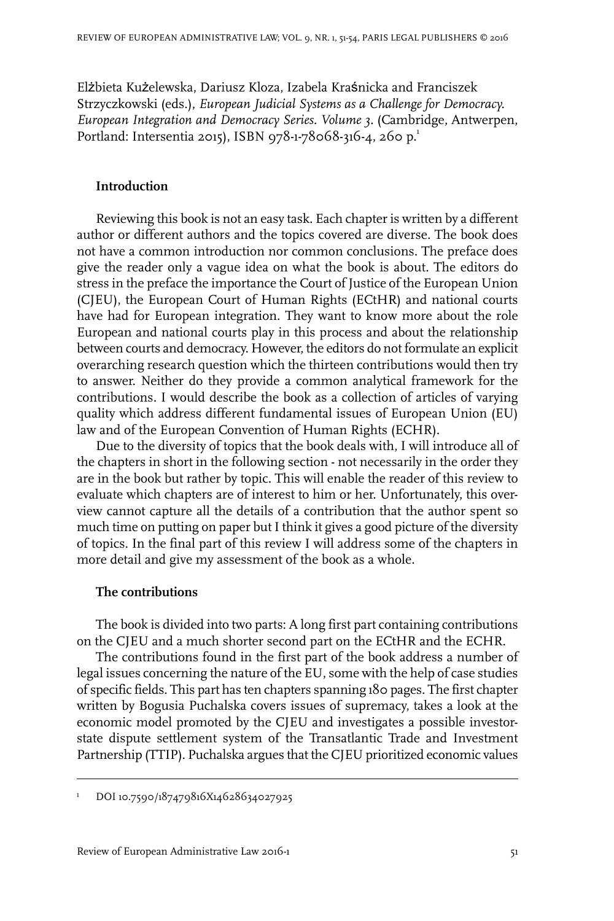Elżbieta Kużelewska, Dariusz Kloza, Izabela Kraśnicka and Franciszek Strzyczkowski (eds.), *European Judicial Systems as a Challenge for Democracy. European Integration and Democracy Series. Volume 3.* (Cambridge, Antwerpen, Portland: Intersentia 2015), ISBN 978-1-78068-316-4, 260 p.<sup>1</sup>

## **Introduction**

Reviewing this book is not an easy task. Each chapter is written by a different author or different authors and the topics covered are diverse. The book does not have a common introduction nor common conclusions. The preface does give the reader only a vague idea on what the book is about. The editors do stress in the preface the importance the Court of Justice of the European Union (CJEU), the European Court of Human Rights (ECtHR) and national courts have had for European integration. They want to know more about the role European and national courts play in this process and about the relationship between courts and democracy. However, the editors do not formulate an explicit overarching research question which the thirteen contributions would then try to answer. Neither do they provide a common analytical framework for the contributions. I would describe the book as a collection of articles of varying quality which address different fundamental issues of European Union (EU) law and of the European Convention of Human Rights (ECHR).

Due to the diversity of topics that the book deals with, I will introduce all of the chapters in short in the following section - not necessarily in the order they are in the book but rather by topic. This will enable the reader of this review to evaluate which chapters are of interest to him or her. Unfortunately, this overview cannot capture all the details of a contribution that the author spent so much time on putting on paper but I think it gives a good picture of the diversity of topics. In the final part of this review I will address some of the chapters in more detail and give my assessment of the book as a whole.

## **The contributions**

The book is divided into two parts: A long first part containing contributions on the CJEU and a much shorter second part on the ECtHR and the ECHR.

The contributions found in the first part of the book address a number of legal issues concerning the nature of the EU, some with the help of case studies of specific fields. This part has ten chapters spanning 180 pages. The first chapter written by Bogusia Puchalska covers issues of supremacy, takes a look at the economic model promoted by the CJEU and investigates a possible investorstate dispute settlement system of the Transatlantic Trade and Investment Partnership (TTIP). Puchalska argues that the CJEU prioritized economic values

<sup>&</sup>lt;sup>1</sup> DOI 10.7590/187479816X14628634027925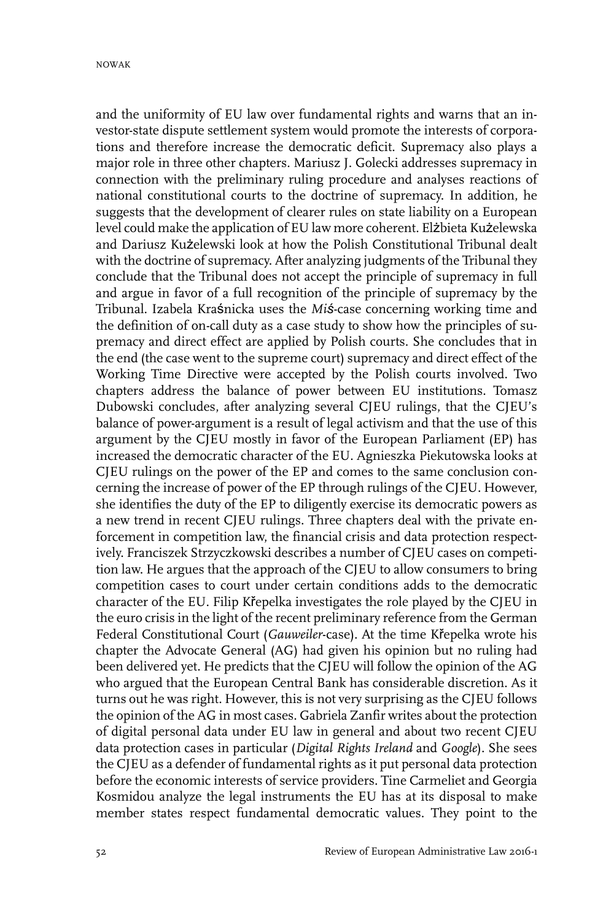and the uniformity of EU law over fundamental rights and warns that an investor-state dispute settlement system would promote the interests of corporations and therefore increase the democratic deficit. Supremacy also plays a major role in three other chapters. Mariusz J. Golecki addresses supremacy in connection with the preliminary ruling procedure and analyses reactions of national constitutional courts to the doctrine of supremacy. In addition, he suggests that the development of clearer rules on state liability on a European level could make the application of EU law more coherent. Elżbieta Kużelewska and Dariusz Kużelewski look at how the Polish Constitutional Tribunal dealt with the doctrine of supremacy. After analyzing judgments of the Tribunal they conclude that the Tribunal does not accept the principle of supremacy in full and argue in favor of a full recognition of the principle of supremacy by the Tribunal. Izabela Kraśnicka uses the *Miś*-case concerning working time and the definition of on-call duty as a case study to show how the principles of supremacy and direct effect are applied by Polish courts. She concludes that in the end (the case went to the supreme court) supremacy and direct effect of the Working Time Directive were accepted by the Polish courts involved. Two chapters address the balance of power between EU institutions. Tomasz Dubowski concludes, after analyzing several CJEU rulings, that the CJEU's balance of power-argument is a result of legal activism and that the use of this argument by the CJEU mostly in favor of the European Parliament (EP) has increased the democratic character of the EU. Agnieszka Piekutowska looks at CJEU rulings on the power of the EP and comes to the same conclusion concerning the increase of power of the EP through rulings of the CJEU. However, she identifies the duty of the EP to diligently exercise its democratic powers as a new trend in recent CJEU rulings. Three chapters deal with the private enforcement in competition law, the financial crisis and data protection respectively. Franciszek Strzyczkowski describes a number of CJEU cases on competition law. He argues that the approach of the CJEU to allow consumers to bring competition cases to court under certain conditions adds to the democratic character of the EU. Filip Křepelka investigates the role played by the CJEU in the euro crisis in the light of the recent preliminary reference from the German Federal Constitutional Court (*Gauweiler*-case). At the time Křepelka wrote his chapter the Advocate General (AG) had given his opinion but no ruling had been delivered yet. He predicts that the CJEU will follow the opinion of the AG who argued that the European Central Bank has considerable discretion. As it turns out he was right. However, this is not very surprising as the CJEU follows the opinion of the AG in most cases. Gabriela Zanfir writes about the protection of digital personal data under EU law in general and about two recent CJEU data protection cases in particular (*Digital Rights Ireland* and *Google*). She sees the CJEU as a defender of fundamental rights as it put personal data protection before the economic interests of service providers. Tine Carmeliet and Georgia Kosmidou analyze the legal instruments the EU has at its disposal to make member states respect fundamental democratic values. They point to the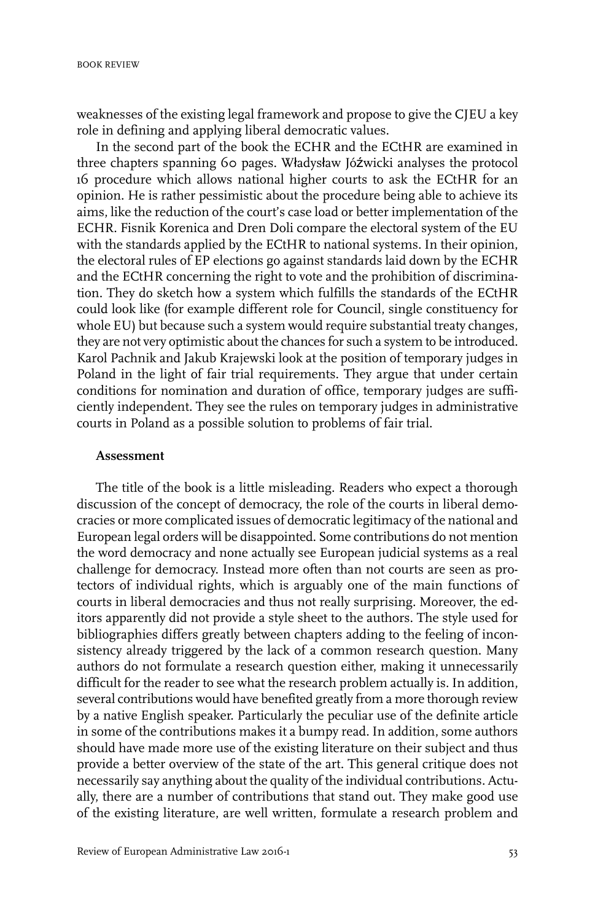weaknesses of the existing legal framework and propose to give the CJEU a key role in defining and applying liberal democratic values.

In the second part of the book the ECHR and the ECtHR are examined in three chapters spanning 60 pages. Władysław Jóźwicki analyses the protocol 16 procedure which allows national higher courts to ask the ECtHR for an opinion. He is rather pessimistic about the procedure being able to achieve its aims, like the reduction of the court's case load or better implementation of the ECHR. Fisnik Korenica and Dren Doli compare the electoral system of the EU with the standards applied by the ECtHR to national systems. In their opinion, the electoral rules of EP elections go against standards laid down by the ECHR and the ECtHR concerning the right to vote and the prohibition of discrimination. They do sketch how a system which fulfills the standards of the ECtHR could look like (for example different role for Council, single constituency for whole EU) but because such a system would require substantial treaty changes, they are not very optimistic about the chances for such a system to be introduced. Karol Pachnik and Jakub Krajewski look at the position of temporary judges in Poland in the light of fair trial requirements. They argue that under certain conditions for nomination and duration of office, temporary judges are sufficiently independent. They see the rules on temporary judges in administrative courts in Poland as a possible solution to problems of fair trial.

## **Assessment**

The title of the book is a little misleading. Readers who expect a thorough discussion of the concept of democracy, the role of the courts in liberal democracies or more complicated issues of democratic legitimacy of the national and European legal orders will be disappointed. Some contributions do not mention the word democracy and none actually see European judicial systems as a real challenge for democracy. Instead more often than not courts are seen as protectors of individual rights, which is arguably one of the main functions of courts in liberal democracies and thus not really surprising. Moreover, the editors apparently did not provide a style sheet to the authors. The style used for bibliographies differs greatly between chapters adding to the feeling of inconsistency already triggered by the lack of a common research question. Many authors do not formulate a research question either, making it unnecessarily difficult for the reader to see what the research problem actually is. In addition, several contributions would have benefited greatly from a more thorough review by a native English speaker. Particularly the peculiar use of the definite article in some of the contributions makes it a bumpy read. In addition, some authors should have made more use of the existing literature on their subject and thus provide a better overview of the state of the art. This general critique does not necessarily say anything about the quality of the individual contributions. Actually, there are a number of contributions that stand out. They make good use of the existing literature, are well written, formulate a research problem and